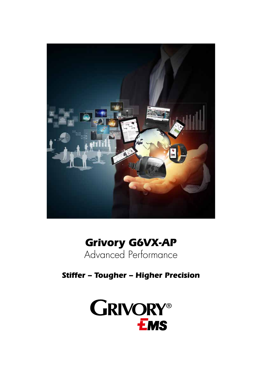

# **Grivory G6VX-AP**  Advanced Performance

**Stiffer – Tougher – Higher Precision**

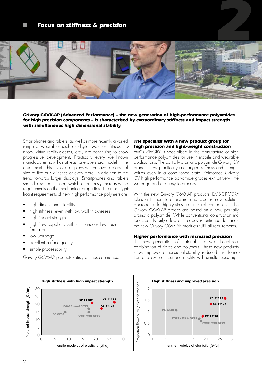# **Focus on stiffness & precision**



#### **Grivory G6VX-AP (Advanced Performance) – the new generation of high-performance polyamides for high precision components – is characterised by extraordinary stiffness and impact strength with simultaneous high dimensional stability.**

Smartphones and tablets, as well as more recently a varied range of wearables such as digital watches, fitness monitors, virtual-reality-glasses, etc., are continuing to show progressive development. Practically every well-known manufacturer now has at least one oversized model in the assortment. This involves displays which have a diagonal size of five or six inches or even more. In addition to the trend towards larger displays, Smartphones and tablets should also be thinner, which enormously increases the requirements on the mechanical properties. The most significant requirements of new high-performance polymers are:

- high dimensional stability
- high stiffness, even with low wall thicknesses
- high impact strength
- high flow capability with simultaneous low flash formation
- low warpage
- excellent surface quality
- simple processability

Grivory G6VX-AP products satisfy all these demands.



### **The specialist with a new product group for high precision and light-weight construction**

EMS-GRIVORY is specialised in the manufacture of highperformance polyamides for use in mobile and wearable applications. The partially aromatic polyamide Grivory GV grades show practically unchanged stiffness and strength values even in a conditioned state. Reinforced Grivory GV high-performance polyamide grades exhibit very little warpage and are easy to process.

With the new Grivory G6VX-AP products, EMS-GRIVORY takes a further step forward and creates new solution approaches for highly stressed structural components. The Grivory G6VX-AP grades are based on a new partially aromatic polyamide. While conventional construction materials satisfy only a few of the above-mentioned demands, the new Grivory G6VX-AP products fulfil all requirements.

#### **Higher performance with increased precision**

This new generation of material is a well thought-out combination of fibres and polymers. These new products show improved dimensional stability, reduced flash formation and excellent surface quality with simultaneous high

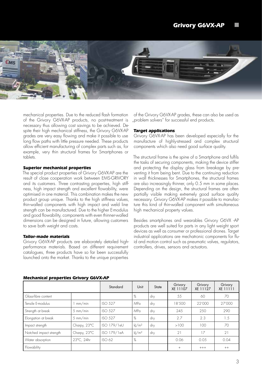

mechanical properties. Due to the reduced flash formation of the Grivory G6VX-AP products, no post-treatment is necessary thus allowing cost savings to be achieved. Despite their high mechanical stiffness, the Grivory G6VX-AP grades are very easy flowing and make it possible to use long flow paths with little pressure needed. These products allow efficient manufacturing of complex parts such as, for example, very thin structural frames for Smartphones or tablets.

#### **Superior mechanical properties**

The special product properties of Grivory G6VX-AP are the result of close cooperation work between EMS-GRIVORY and its customers. Three contrasting properties, high stiffness, high impact strength and excellent flowability, were optimised in one material. This combination makes the new product group unique. Thanks to the high stiffness values, thin-walled components with high impact and weld line strength can be manufactured. Due to the higher E-modulus and good flowability, components with even thinner-walled dimensions can be designed in future, allowing customers to save both weight and costs.

#### **Tailor-made materials**

Grivory G6VX-AP products are elaborately detailed highperformance materials. Based on different requirement catalogues, three products have so far been successfully launched onto the market. Thanks to the unique properties

of the Grivory G6VX-AP grades, these can also be used as "problem solvers" for successful end products.

#### **Target applications**

Grivory G6VX-AP has been developed especially for the manufacture of highly-stressed and complex structural components which also need good surface quality.

The structural frame is the spine of a Smartphone and fulfils the tasks of securing components, making the device stiffer and protecting the display glass from breakage by preventing it from being bent. Due to the continuing reduction in wall thicknesses for Smartphones, the structural frames are also increasingly thinner, only 0.5 mm in some places. Depending on the design, the structural frames are often partially visible making extremely good surface quality necessary. Grivory G6VX-AP makes it possible to manufacture this kind of thin-walled component with simultaneous high mechanical property values.

Besides smartphones and wearables Grivory G6VX -AP products are well suited for parts in any light weight sport devices as well as consumer or professional drones. Target industrial applications are mechatronic components for fluid and motion control such as pneumatic valves, regulators, controllers, drives, sensors and actuators.

| <b>Mechanical properties drivery dovator</b> |                    |                |                     |              |                     |                     |                     |
|----------------------------------------------|--------------------|----------------|---------------------|--------------|---------------------|---------------------|---------------------|
|                                              |                    | Standard       | Unit                | <b>State</b> | Grivory<br>XE 11107 | Grivory<br>XE 11127 | Grivory<br>XE 11111 |
| Glass-fibre content                          |                    |                | %                   | dry .        | 55                  | 60                  | 70                  |
| Tensile E-modulus                            | mm/min             | <b>ISO 527</b> | MPa                 | dry          | 18'500              | 22'000              | 27'000              |
| Strength at break                            | $5 \text{ mm/min}$ | <b>ISO 527</b> | MPa                 | dry          | 245                 | 250                 | 290                 |
| Elongation at break                          | $5 \text{ mm/min}$ | <b>ISO 527</b> | %                   | dry          | 2.7                 | 2.3                 | 1.5                 |
| Impact strength                              | Charpy, 23°C       | ISO 179/1eU    | $k$ /m <sup>2</sup> | dry          | >100                | 100                 | 70                  |
| Notched impact strength                      | Charpy, 23°C       | ISO 179/1eA    | $k$ /m <sup>2</sup> | dry          | 21                  | 17                  | 21                  |
| Water absorption                             | 23°C, 24hr         | ISO 62         | %                   |              | 0.06                | 0.05                | 0.04                |
| Flowability                                  |                    |                |                     |              | $+$                 | $+++$               | $++$                |

#### **Mechanical properties Grivory G6VX-AP**